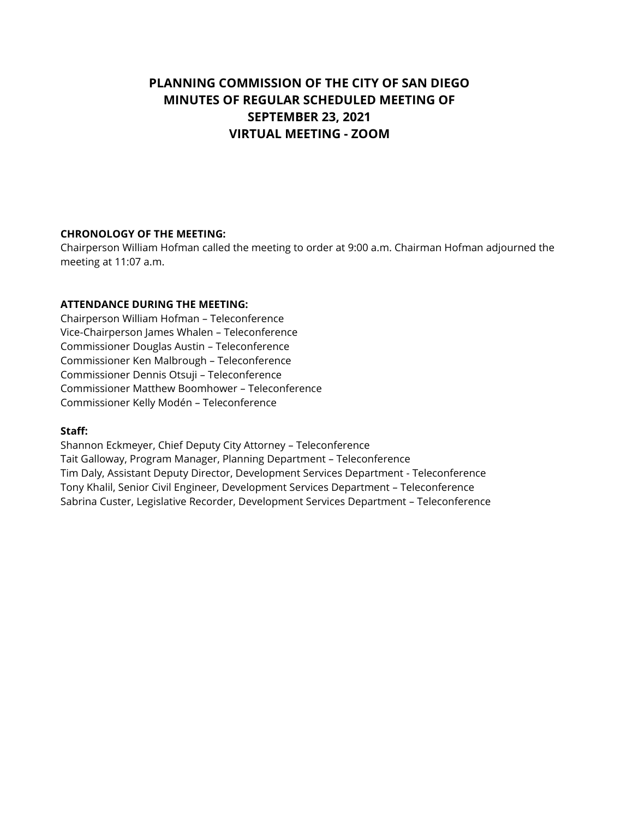# **PLANNING COMMISSION OF THE CITY OF SAN DIEGO MINUTES OF REGULAR SCHEDULED MEETING OF SEPTEMBER 23, 2021 VIRTUAL MEETING - ZOOM**

## **CHRONOLOGY OF THE MEETING:**

Chairperson William Hofman called the meeting to order at 9:00 a.m. Chairman Hofman adjourned the meeting at 11:07 a.m.

## **ATTENDANCE DURING THE MEETING:**

Chairperson William Hofman – Teleconference Vice-Chairperson James Whalen – Teleconference Commissioner Douglas Austin – Teleconference Commissioner Ken Malbrough – Teleconference Commissioner Dennis Otsuji – Teleconference Commissioner Matthew Boomhower – Teleconference Commissioner Kelly Modén – Teleconference

### **Staff:**

Shannon Eckmeyer, Chief Deputy City Attorney – Teleconference Tait Galloway, Program Manager, Planning Department – Teleconference Tim Daly, Assistant Deputy Director, Development Services Department - Teleconference Tony Khalil, Senior Civil Engineer, Development Services Department – Teleconference Sabrina Custer, Legislative Recorder, Development Services Department – Teleconference